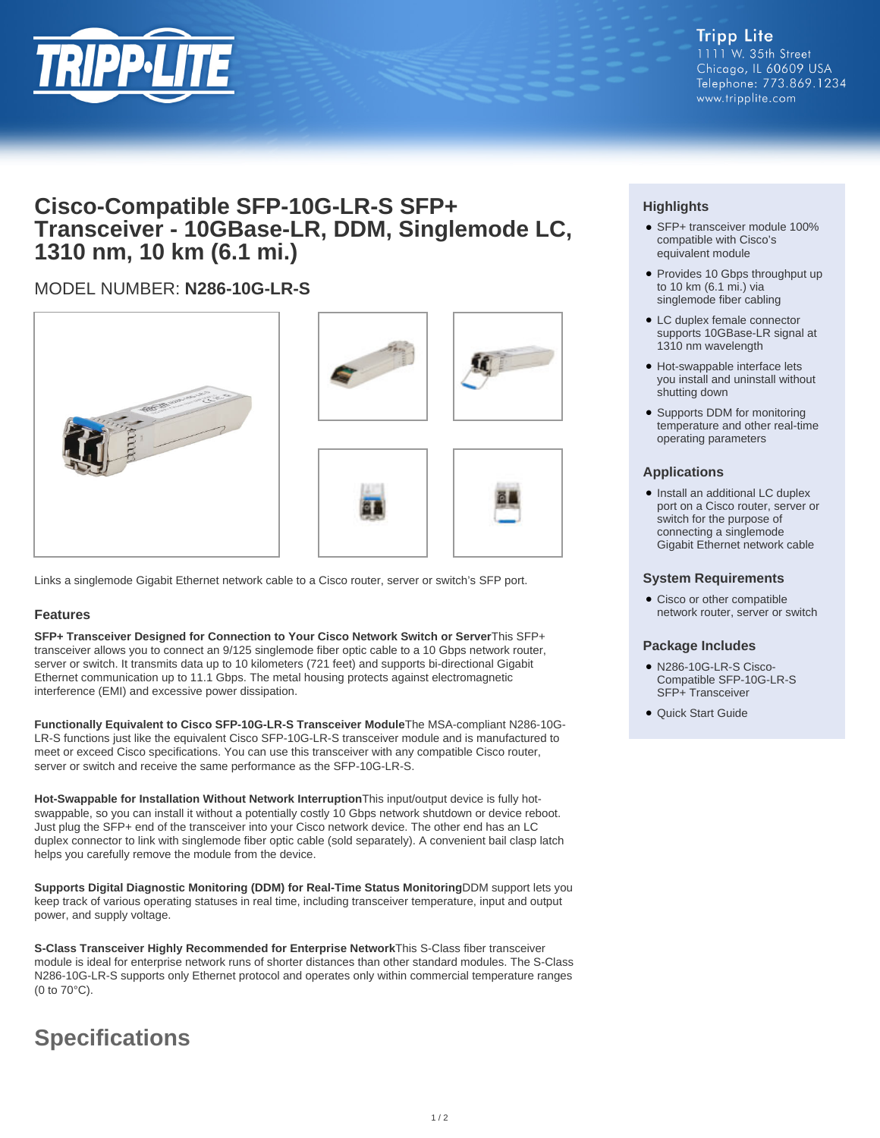

# **Cisco-Compatible SFP-10G-LR-S SFP+ Transceiver - 10GBase-LR, DDM, Singlemode LC, 1310 nm, 10 km (6.1 mi.)**

# MODEL NUMBER: **N286-10G-LR-S**



Links a singlemode Gigabit Ethernet network cable to a Cisco router, server or switch's SFP port.

## **Features**

**SFP+ Transceiver Designed for Connection to Your Cisco Network Switch or Server**This SFP+ transceiver allows you to connect an 9/125 singlemode fiber optic cable to a 10 Gbps network router, server or switch. It transmits data up to 10 kilometers (721 feet) and supports bi-directional Gigabit Ethernet communication up to 11.1 Gbps. The metal housing protects against electromagnetic interference (EMI) and excessive power dissipation.

**Functionally Equivalent to Cisco SFP-10G-LR-S Transceiver Module**The MSA-compliant N286-10G-LR-S functions just like the equivalent Cisco SFP-10G-LR-S transceiver module and is manufactured to meet or exceed Cisco specifications. You can use this transceiver with any compatible Cisco router, server or switch and receive the same performance as the SFP-10G-LR-S.

**Hot-Swappable for Installation Without Network Interruption**This input/output device is fully hotswappable, so you can install it without a potentially costly 10 Gbps network shutdown or device reboot. Just plug the SFP+ end of the transceiver into your Cisco network device. The other end has an LC duplex connector to link with singlemode fiber optic cable (sold separately). A convenient bail clasp latch helps you carefully remove the module from the device.

**Supports Digital Diagnostic Monitoring (DDM) for Real-Time Status Monitoring**DDM support lets you keep track of various operating statuses in real time, including transceiver temperature, input and output power, and supply voltage.

**S-Class Transceiver Highly Recommended for Enterprise Network**This S-Class fiber transceiver module is ideal for enterprise network runs of shorter distances than other standard modules. The S-Class N286-10G-LR-S supports only Ethernet protocol and operates only within commercial temperature ranges (0 to 70°C).

# **Specifications**

# **Highlights**

- SFP+ transceiver module 100% compatible with Cisco's equivalent module
- Provides 10 Gbps throughput up to 10 km (6.1 mi.) via singlemode fiber cabling
- LC duplex female connector supports 10GBase-LR signal at 1310 nm wavelength
- Hot-swappable interface lets you install and uninstall without shutting down
- Supports DDM for monitoring temperature and other real-time operating parameters

### **Applications**

• Install an additional LC duplex port on a Cisco router, server or switch for the purpose of connecting a singlemode Gigabit Ethernet network cable

#### **System Requirements**

• Cisco or other compatible network router, server or switch

#### **Package Includes**

- N286-10G-LR-S Cisco-Compatible SFP-10G-LR-S SFP+ Transceiver
- Quick Start Guide